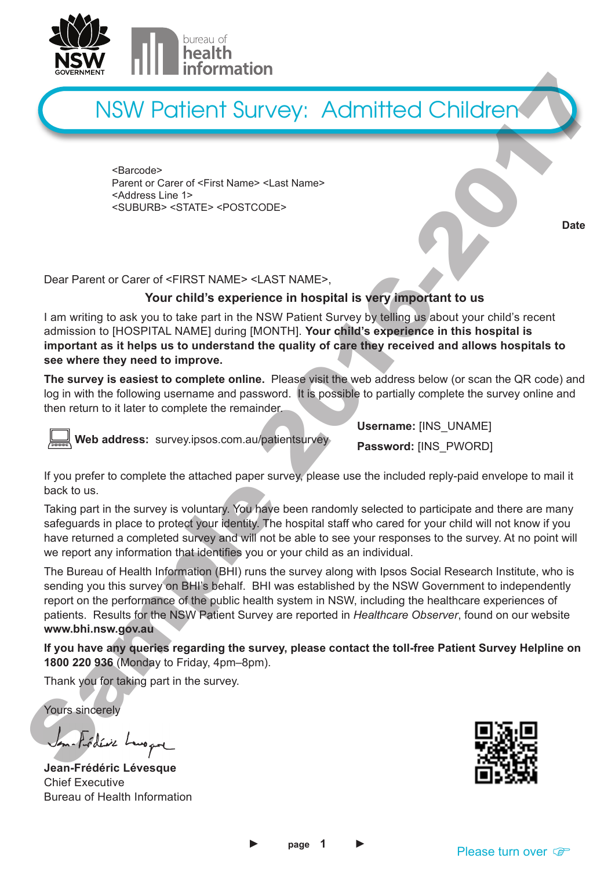

# NSW Patient Survey: Admitted Children

<Barcode> Parent or Carer of <First Name> <Last Name> <Address Line 1> <SUBURB> <STATE> <POSTCODE>

Dear Parent or Carer of <FIRST NAME> <LAST NAME>,

# **Your child's experience in hospital is very important to us**

I am writing to ask you to take part in the NSW Patient Survey by telling us about your child's recent admission to [HOSPITAL NAME] during [MONTH]. **Your child's experience in this hospital is important as it helps us to understand the quality of care they received and allows hospitals to see where they need to improve.**

**The survey is easiest to complete online.** Please visit the web address below (or scan the QR code) and log in with the following username and password. It is possible to partially complete the survey online and then return to it later to complete the remainder.



 **Web address:** survey.ipsos.com.au/patientsurvey

**Username:** [INS\_UNAME]

**Password:** [INS\_PWORD]

If you prefer to complete the attached paper survey, please use the included reply-paid envelope to mail it back to us.

Taking part in the survey is voluntary. You have been randomly selected to participate and there are many safeguards in place to protect your identity. The hospital staff who cared for your child will not know if you have returned a completed survey and will not be able to see your responses to the survey. At no point will we report any information that identifies you or your child as an individual.

The Bureau of Health Information (BHI) runs the survey along with Ipsos Social Research Institute, who is sending you this survey on BHI's behalf. BHI was established by the NSW Government to independently report on the performance of the public health system in NSW, including the healthcare experiences of patients. Results for the NSW Patient Survey are reported in *Healthcare Observer*, found on our website **www.bhi.nsw.gov.au** Sometion Constraint and Sample 2017 (September 2017). Admitted Children Constraint and the sample 2017 (September 2017). Admitted Children Case of the sample 2016-2017 (September 2017). The sample 2017 (September 2017) (S

**If you have any queries regarding the survey, please contact the toll-free Patient Survey Helpline on 1800 220 936** (Monday to Friday, 4pm–8pm).

Thank you for taking part in the survey.

Yours sincerely

**Jean-Frédéric Lévesque** Chief Executive Bureau of Health Information



**Date**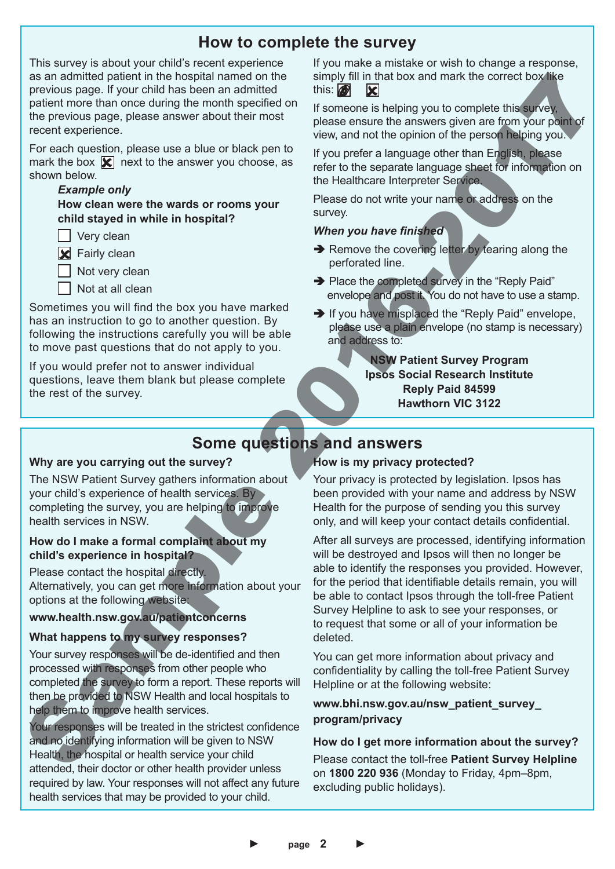# **How to complete the survey**

This survey is about your child's recent experience as an admitted patient in the hospital named on the previous page. If your child has been an admitted patient more than once during the month specified on the previous page, please answer about their most recent experience.

For each question, please use a blue or black pen to mark the box  $\mathbf{\nabla}$  next to the answer you choose, as shown below.

## *Example only*

 **How clean were the wards or rooms your child stayed in while in hospital?**

 $\Box$  Very clean

**X** Fairly clean

Not very clean

Not at all clean

Sometimes you will find the box you have marked has an instruction to go to another question. By following the instructions carefully you will be able to move past questions that do not apply to you.

If you would prefer not to answer individual questions, leave them blank but please complete the rest of the survey.

If you make a mistake or wish to change a response, simply fill in that box and mark the correct box like this:  $\blacksquare$ 

If someone is helping you to complete this survey, please ensure the answers given are from your point of view, and not the opinion of the person helping you.

If you prefer a language other than English, please refer to the separate language sheet for information on the Healthcare Interpreter Service.

Please do not write your name or address on the survey.

## *When you have finished*

- $\rightarrow$  Remove the covering letter by tearing along the perforated line.
- → Place the completed survey in the "Reply Paid" envelope and post it. You do not have to use a stamp.
- $\rightarrow$  If you have misplaced the "Reply Paid" envelope, please use a plain envelope (no stamp is necessary) and address to:

# **NSW Patient Survey Program Ipsos Social Research Institute Reply Paid 84599 Hawthorn VIC 3122**

# **Some questions and answers**

#### **Why are you carrying out the survey?**

The NSW Patient Survey gathers information about your child's experience of health services. By completing the survey, you are helping to improve health services in NSW.

# **How do I make a formal complaint about my child's experience in hospital?**

Please contact the hospital directly. Alternatively, you can get more information about your options at the following website:

## **www.health.nsw.gov.au/patientconcerns**

# **What happens to my survey responses?**

Your survey responses will be de-identified and then processed with responses from other people who completed the survey to form a report. These reports will then be provided to NSW Health and local hospitals to help them to improve health services.

Your responses will be treated in the strictest confidence and no identifying information will be given to NSW Health, the hospital or health service your child attended, their doctor or other health provider unless required by law. Your responses will not affect any future health services that may be provided to your child.

# **How is my privacy protected?**

Your privacy is protected by legislation. Ipsos has been provided with your name and address by NSW Health for the purpose of sending you this survey only, and will keep your contact details confidential.

After all surveys are processed, identifying information will be destroyed and Ipsos will then no longer be able to identify the responses you provided. However, for the period that identifiable details remain, you will be able to contact Ipsos through the toll-free Patient Survey Helpline to ask to see your responses, or to request that some or all of your information be deleted. **But a distinct the property and the set of the set of the set of the set of the set of the set of the set of the set of the set of the set of the set of the set of the set of the set of the set of the set of the set of th** 

You can get more information about privacy and confidentiality by calling the toll-free Patient Survey Helpline or at the following website:

# **www.bhi.nsw.gov.au/nsw\_patient\_survey\_ program/privacy**

# **How do I get more information about the survey?**

Please contact the toll-free **Patient Survey Helpline** excluding public holidays).

► **page 2** ►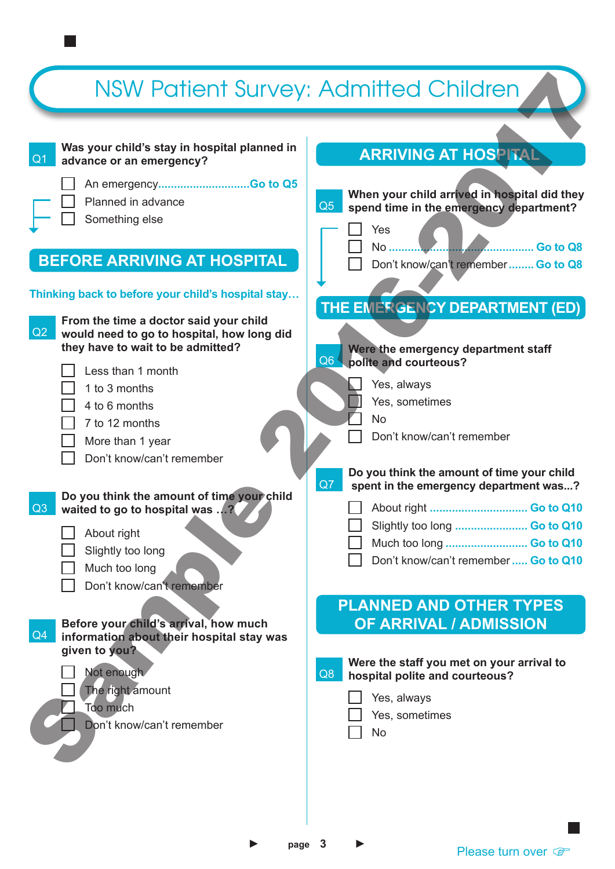#### $Q<sub>1</sub>$  **Was your child's stay in hospital planned in advance or an emergency?**  An emergency**.............................Go to Q5** Planned in advance Something else  $Q2$  **From the time a doctor said your child would need to go to hospital, how long did they have to wait to be admitted?**  Less than 1 month 1 to 3 months 4 to 6 months 7 to 12 months More than 1 year Don't know/can't remember  $Q3$ **Do you think the amount of time your child waited to go to hospital was …?** About right Slightly too long Much too long Don't know/can't remember  $Q4$ **Before your child's arrival, how much information about their hospital stay was given to you?** Not enough The right amount Too much Don't know/can't remember **Thinking back to before your child's hospital stay… BEFORE ARRIVING AT HOSPITAL THE EMERGENCY DEPARTMENT (ED) PLANNED AND OTHER TYPES OF ARRIVAL / ADMISSION ARRIVING AT HOSPITAL**  $O<sub>5</sub>$ **When your child arrived in hospital did they spend time in the emergency department?** Yes No **.............................................. Go to Q8** Don't know/can't remember**........ Go to Q8** Q8 **Were the staff you met on your arrival to hospital polite and courteous?** Yes, always Yes, sometimes No  $Q6$ **Were the emergency department staff polite and courteous?** Yes, always Yes, sometimes No Don't know/can't remember  $Q7$ **Do you think the amount of time your child spent in the emergency department was...?** About right **............................... Go to Q10** Slightly too long **....................... Go to Q10** Much too long **.......................... Go to Q10** Don't know/can't remember**..... Go to Q10** NSW Patient Survey: Admitted Children<br>
Nas your child stay in hospital planned in<br>
Planned in a diving the survey of the star wild and<br>
Defined in the star wild stay in the star wild stay<br>
Survey in the time a doctor said Sample 2018<br>
Sample 2018<br>
Sample 2018<br>
Sample 2018<br>
Sample 2018<br>
Sample 2018<br>
Contenting descriptions of the management of the sample and the sample and the sample in the contention of the sample and the sample and the sa

page 3

Please turn over  $\mathbb{F}$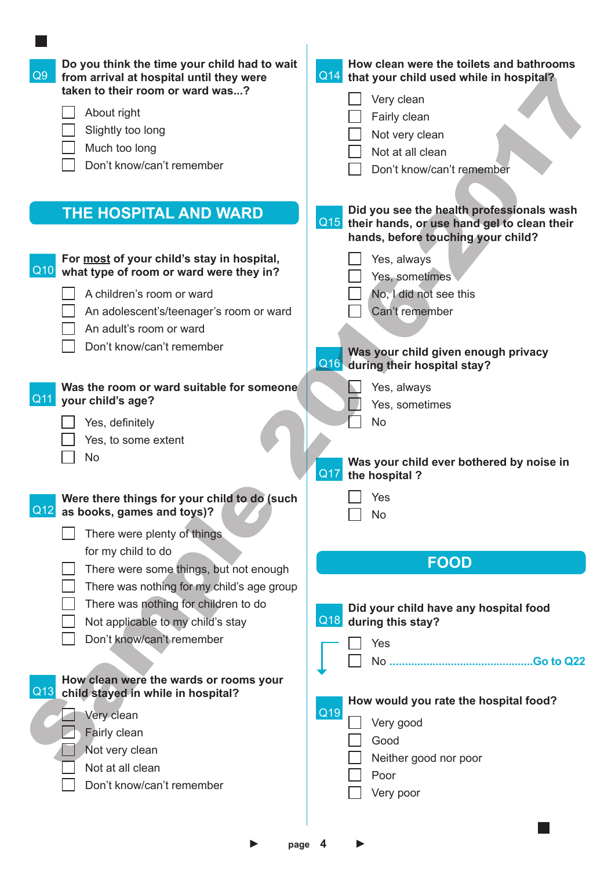| Do you think the time your child had to wait<br>Q9<br>from arrival at hospital until they were<br>taken to their room or ward was? | How clean were the toilets and bathrooms<br>Q14<br>that your child used while in hospital?                                            |
|------------------------------------------------------------------------------------------------------------------------------------|---------------------------------------------------------------------------------------------------------------------------------------|
|                                                                                                                                    | Very clean                                                                                                                            |
| About right                                                                                                                        | Fairly clean                                                                                                                          |
| Slightly too long                                                                                                                  | Not very clean                                                                                                                        |
| Much too long                                                                                                                      | Not at all clean                                                                                                                      |
| Don't know/can't remember                                                                                                          | Don't know/can't remember                                                                                                             |
|                                                                                                                                    |                                                                                                                                       |
| <b>THE HOSPITAL AND WARD</b>                                                                                                       | Did you see the health professionals wash<br>Q15<br>their hands, or use hand gel to clean their<br>hands, before touching your child? |
| For most of your child's stay in hospital,                                                                                         | Yes, always                                                                                                                           |
| Q10 what type of room or ward were they in?                                                                                        | Yes, sometimes                                                                                                                        |
| A children's room or ward                                                                                                          | No, I did not see this                                                                                                                |
| An adolescent's/teenager's room or ward                                                                                            | Can't remember                                                                                                                        |
| An adult's room or ward                                                                                                            |                                                                                                                                       |
| Don't know/can't remember                                                                                                          | Was your child given enough privacy                                                                                                   |
|                                                                                                                                    | Q16 during their hospital stay?                                                                                                       |
| Was the room or ward suitable for someone                                                                                          | Yes, always                                                                                                                           |
| Q11 your child's age?                                                                                                              | Yes, sometimes                                                                                                                        |
| Yes, definitely                                                                                                                    | <b>No</b>                                                                                                                             |
| Yes, to some extent                                                                                                                |                                                                                                                                       |
| No                                                                                                                                 | Was your child ever bothered by noise in<br>Q17<br>the hospital?                                                                      |
| Were there things for your child to do (such<br>Q12<br>as books, games and toys)?                                                  | Yes<br>No                                                                                                                             |
| There were plenty of things                                                                                                        |                                                                                                                                       |
| for my child to do                                                                                                                 |                                                                                                                                       |
| There were some things, but not enough                                                                                             | <b>FOOD</b>                                                                                                                           |
| There was nothing for my child's age group                                                                                         |                                                                                                                                       |
| There was nothing for children to do                                                                                               | Did your child have any hospital food                                                                                                 |
| Not applicable to my child's stay                                                                                                  | Q18<br>during this stay?                                                                                                              |
| Don't know/can't remember                                                                                                          | Yes                                                                                                                                   |
|                                                                                                                                    |                                                                                                                                       |
| How clean were the wards or rooms your                                                                                             |                                                                                                                                       |
| Q13<br>child stayed in while in hospital?                                                                                          |                                                                                                                                       |
| Very clean                                                                                                                         | How would you rate the hospital food?<br>Q19                                                                                          |
| Fairly clean                                                                                                                       | Very good                                                                                                                             |
| Not very clean                                                                                                                     | Good                                                                                                                                  |
| Not at all clean                                                                                                                   | Neither good nor poor                                                                                                                 |
| Don't know/can't remember                                                                                                          | Poor                                                                                                                                  |
|                                                                                                                                    | Very poor                                                                                                                             |
|                                                                                                                                    |                                                                                                                                       |
|                                                                                                                                    |                                                                                                                                       |
|                                                                                                                                    | page 4                                                                                                                                |

**College**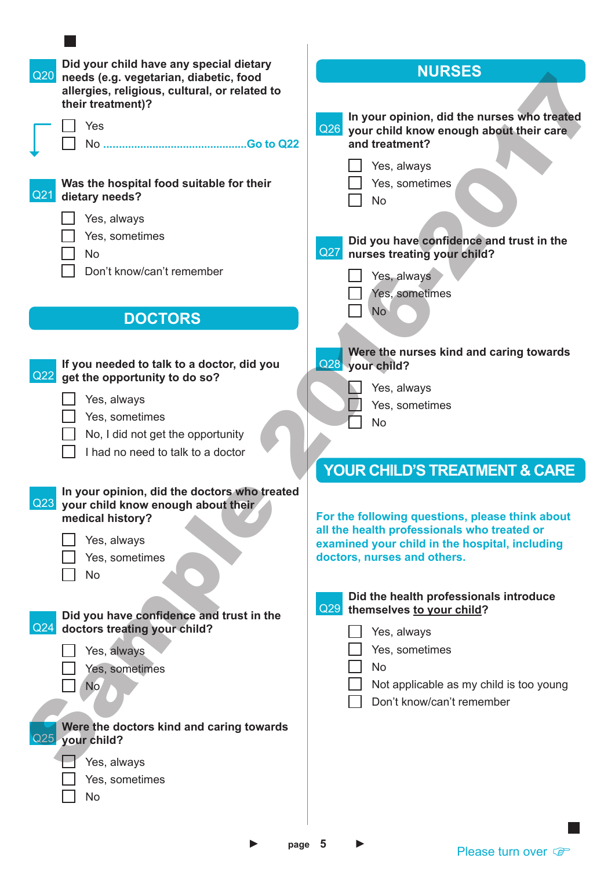| Did your child have any special dietary<br>Q20<br>needs (e.g. vegetarian, diabetic, food<br>allergies, religious, cultural, or related to<br>their treatment)? | <b>NURSES</b>                                                                                                                                                                   |
|----------------------------------------------------------------------------------------------------------------------------------------------------------------|---------------------------------------------------------------------------------------------------------------------------------------------------------------------------------|
| Yes<br>No                                                                                                                                                      | In your opinion, did the nurses who treated<br>Q26 your child know enough about their care<br>and treatment?<br>Yes, always                                                     |
| Was the hospital food suitable for their<br>Q2'<br>dietary needs?                                                                                              | Yes, sometimes<br>$\Box$<br>No                                                                                                                                                  |
| Yes, always<br>Yes, sometimes<br>$\mathbb{R}^n$<br><b>No</b>                                                                                                   | Did you have confidence and trust in the<br>nurses treating your child?<br>Q27                                                                                                  |
| Don't know/can't remember<br><b>DOCTORS</b>                                                                                                                    | Yes, always<br>Yes, sometimes<br><b>No</b>                                                                                                                                      |
| If you needed to talk to a doctor, did you<br>Q22<br>get the opportunity to do so?<br>Yes, always<br>Yes, sometimes                                            | Were the nurses kind and caring towards<br>Q28 your child?<br>∐<br>Yes, always<br>Yes, sometimes<br>$\Box$ No                                                                   |
| No, I did not get the opportunity<br>I had no need to talk to a doctor                                                                                         | <b>YOUR CHILD'S TREATMENT &amp; CARE</b>                                                                                                                                        |
| In your opinion, did the doctors who treated<br>Q23 your child know enough about their<br>medical history?<br>Yes, always<br>Yes, sometimes<br>No              | For the following questions, please think about<br>all the health professionals who treated or<br>examined your child in the hospital, including<br>doctors, nurses and others. |
| Did you have confidence and trust in the<br>Q24<br>doctors treating your child?                                                                                | Did the health professionals introduce<br>Q29<br>themselves to your child?<br>Yes, always                                                                                       |
| Yes, always<br>Yes, sometimes<br>No                                                                                                                            | Yes, sometimes<br>No<br>Not applicable as my child is too young<br>Don't know/can't remember                                                                                    |
| Were the doctors kind and caring towards<br>Q25 your child?<br>Yes, always                                                                                     |                                                                                                                                                                                 |
| Yes, sometimes<br>No                                                                                                                                           |                                                                                                                                                                                 |
|                                                                                                                                                                |                                                                                                                                                                                 |

► **page 5** ►

Please turn over  $\mathcal{F}$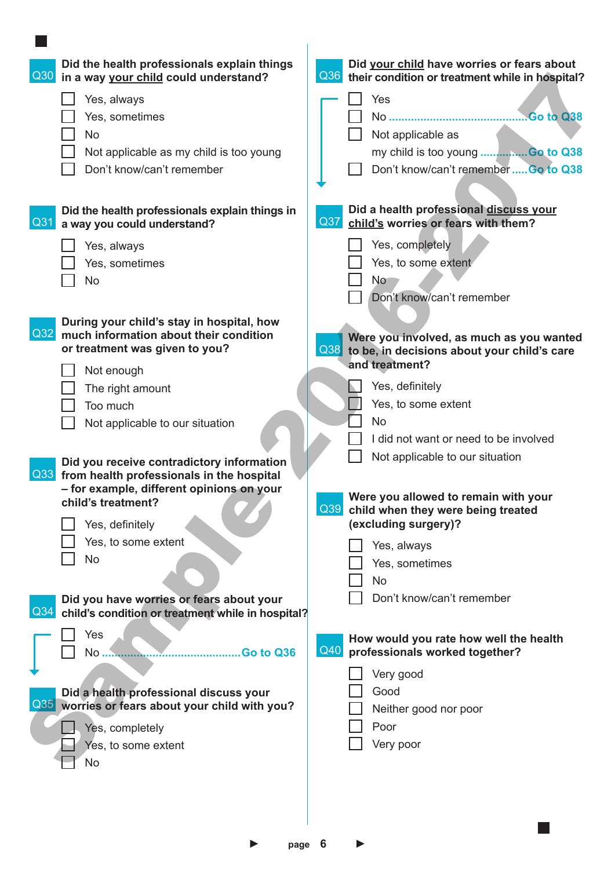| Did the health professionals explain things<br>$\vert$ Q30<br>in a way your child could understand?  | Did your child have worries or fears about<br>Q36<br>their condition or treatment while in hospital? |
|------------------------------------------------------------------------------------------------------|------------------------------------------------------------------------------------------------------|
| Yes, always                                                                                          | Yes                                                                                                  |
| Yes, sometimes                                                                                       |                                                                                                      |
| No                                                                                                   | Not applicable as                                                                                    |
| Not applicable as my child is too young                                                              | my child is too young  Go to Q38                                                                     |
| Don't know/can't remember                                                                            | Don't know/can't remember  Go to Q38                                                                 |
|                                                                                                      |                                                                                                      |
| Did the health professionals explain things in<br>Q31<br>a way you could understand?                 | Did a health professional discuss your<br>Q <sub>37</sub><br>child's worries or fears with them?     |
| Yes, always                                                                                          | Yes, completely                                                                                      |
| Yes, sometimes                                                                                       | Yes, to some extent                                                                                  |
| No                                                                                                   | <b>No</b>                                                                                            |
|                                                                                                      | Don't know/can't remember                                                                            |
| During your child's stay in hospital, how                                                            |                                                                                                      |
| Q <sub>32</sub><br>much information about their condition                                            | Were you involved, as much as you wanted                                                             |
| or treatment was given to you?                                                                       | Q38<br>to be, in decisions about your child's care<br>and treatment?                                 |
| Not enough                                                                                           |                                                                                                      |
| The right amount                                                                                     | Yes, definitely<br>Yes, to some extent                                                               |
| Too much                                                                                             | <b>No</b>                                                                                            |
| Not applicable to our situation                                                                      | I did not want or need to be involved                                                                |
|                                                                                                      | Not applicable to our situation                                                                      |
| Did you receive contradictory information<br>Q33 from health professionals in the hospital           |                                                                                                      |
| - for example, different opinions on your                                                            | Were you allowed to remain with your                                                                 |
| child's treatment?                                                                                   | Q <sub>39</sub><br>child when they were being treated                                                |
| Yes, definitely                                                                                      | (excluding surgery)?                                                                                 |
| Yes, to some extent                                                                                  | Yes, always                                                                                          |
| No                                                                                                   | Yes, sometimes                                                                                       |
|                                                                                                      | No                                                                                                   |
| Did you have worries or fears about your<br>Q34<br>child's condition or treatment while in hospital? | Don't know/can't remember                                                                            |
| Yes                                                                                                  | How would you rate how well the health                                                               |
| No<br>Go to Q36                                                                                      | $\overline{Q40}$<br>professionals worked together?                                                   |
|                                                                                                      | Very good                                                                                            |
| Did a health professional discuss your                                                               | Good                                                                                                 |
| Q35 worries or fears about your child with you?                                                      | Neither good nor poor                                                                                |
| Yes, completely                                                                                      | Poor                                                                                                 |
| Yes, to some extent                                                                                  | Very poor                                                                                            |
| <b>No</b>                                                                                            |                                                                                                      |
|                                                                                                      |                                                                                                      |
|                                                                                                      |                                                                                                      |

► **page 6** ►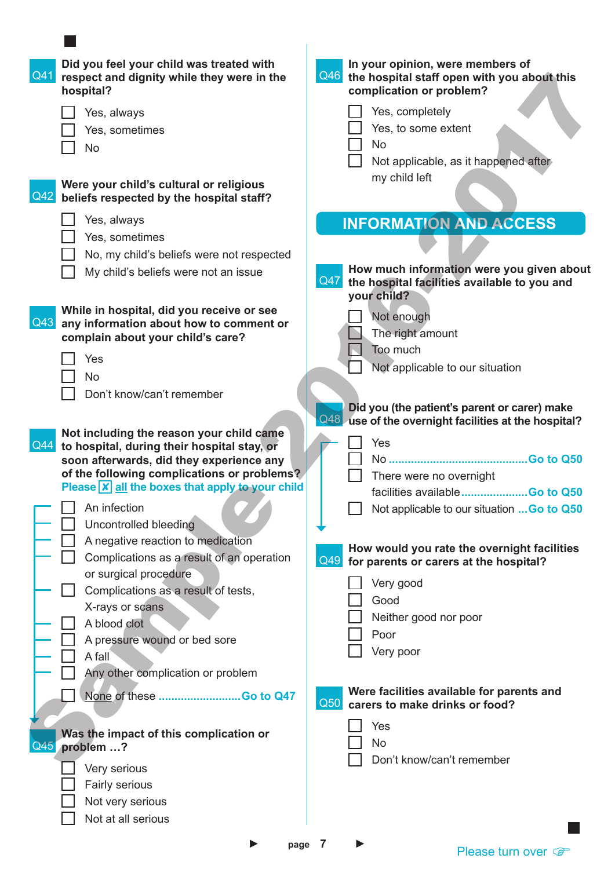| Q4  | Did you feel your child was treated with<br>respect and dignity while they were in the<br>hospital? | In your opinion, were members of<br>Q46 the hospital staff open with you about this<br>complication or problem? |
|-----|-----------------------------------------------------------------------------------------------------|-----------------------------------------------------------------------------------------------------------------|
|     | Yes, always                                                                                         | Yes, completely                                                                                                 |
|     | Yes, sometimes                                                                                      | Yes, to some extent                                                                                             |
|     | $\mathcal{L}_{\mathcal{A}}$<br><b>No</b>                                                            | <b>No</b>                                                                                                       |
|     |                                                                                                     | Not applicable, as it happened after                                                                            |
| Q4' | Were your child's cultural or religious<br>beliefs respected by the hospital staff?                 | my child left                                                                                                   |
|     | Yes, always                                                                                         | <b>INFORMATION AND ACCESS</b>                                                                                   |
|     | Yes, sometimes                                                                                      |                                                                                                                 |
|     | No, my child's beliefs were not respected                                                           |                                                                                                                 |
|     | My child's beliefs were not an issue                                                                | How much information were you given about<br>Q47<br>the hospital facilities available to you and                |
|     | While in hospital, did you receive or see                                                           | your child?                                                                                                     |
| Q43 | any information about how to comment or                                                             | Not enough                                                                                                      |
|     | complain about your child's care?                                                                   | The right amount                                                                                                |
|     | Yes                                                                                                 | Too much                                                                                                        |
|     | <b>No</b>                                                                                           | Not applicable to our situation                                                                                 |
|     | Don't know/can't remember                                                                           |                                                                                                                 |
|     |                                                                                                     | Did you (the patient's parent or carer) make<br>Q48.<br>use of the overnight facilities at the hospital?        |
|     | Not including the reason your child came                                                            |                                                                                                                 |
| Q44 | to hospital, during their hospital stay, or                                                         | Yes                                                                                                             |
|     | soon afterwards, did they experience any<br>of the following complications or problems?             |                                                                                                                 |
|     | Please <b>X</b> all the boxes that apply to your child                                              | There were no overnight                                                                                         |
|     |                                                                                                     | facilities available Go to Q50                                                                                  |
|     | $\Box$ An infection<br>$\Box$                                                                       | Not applicable to our situation  Go to Q50                                                                      |
|     | Uncontrolled bleeding                                                                               |                                                                                                                 |
|     | A negative reaction to medication<br>$\Box$<br>Complications as a result of an operation            | How would you rate the overnight facilities                                                                     |
|     | or surgical procedure                                                                               | Q49 for parents or carers at the hospital?                                                                      |
|     | Complications as a result of tests,                                                                 | Very good                                                                                                       |
|     | X-rays or scans                                                                                     | Good                                                                                                            |
|     | $\Box$<br>A blood clot                                                                              | Neither good nor poor                                                                                           |
|     | A pressure wound or bed sore<br>$\blacksquare$                                                      | Poor                                                                                                            |
|     | $\Box$<br>A fall                                                                                    | Very poor                                                                                                       |
|     | Any other complication or problem                                                                   |                                                                                                                 |
|     | None of these Go to Q47                                                                             | Were facilities available for parents and<br>$\vert$ Q <sub>50</sub><br>carers to make drinks or food?          |
|     |                                                                                                     | Yes                                                                                                             |
|     | Was the impact of this complication or<br>Q45 problem ?                                             | No                                                                                                              |
|     | Very serious                                                                                        | Don't know/can't remember                                                                                       |
|     |                                                                                                     |                                                                                                                 |
|     |                                                                                                     |                                                                                                                 |
|     | Fairly serious                                                                                      |                                                                                                                 |
|     | Not very serious<br>Not at all serious                                                              |                                                                                                                 |

 $\overline{\phantom{a}}$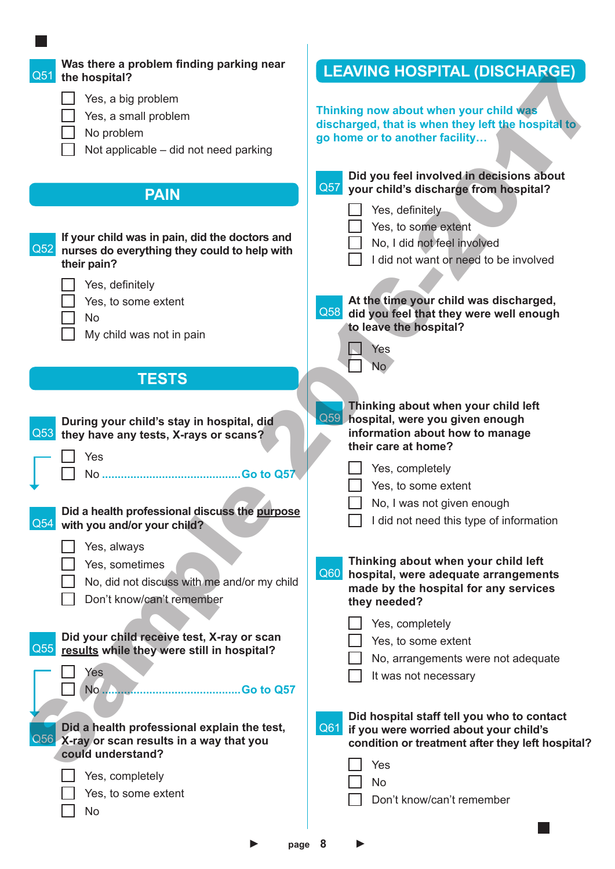| Was there a problem finding parking near<br>Q51<br>the hospital?                                                                                                                                                     | <b>LEAVING HOSPITAL (DISCHARGE)</b>                                                                                                                                                                                                                        |
|----------------------------------------------------------------------------------------------------------------------------------------------------------------------------------------------------------------------|------------------------------------------------------------------------------------------------------------------------------------------------------------------------------------------------------------------------------------------------------------|
| Yes, a big problem<br>Yes, a small problem<br>No problem<br>Not applicable – did not need parking                                                                                                                    | Thinking now about when your child was<br>discharged, that is when they left the hospital to<br>go home or to another facility                                                                                                                             |
| <b>PAIN</b>                                                                                                                                                                                                          | Did you feel involved in decisions about<br>Q57<br>your child's discharge from hospital?                                                                                                                                                                   |
| If your child was in pain, did the doctors and<br>Q52 nurses do everything they could to help with<br>their pain?<br>Yes, definitely<br>Yes, to some extent<br><b>No</b><br>My child was not in pain<br><b>TESTS</b> | Yes, definitely<br>Yes, to some extent<br>No, I did not feel involved<br>I did not want or need to be involved<br>At the time your child was discharged,<br>Q58<br>did you feel that they were well enough<br>to leave the hospital?<br>Yes<br>No          |
| During your child's stay in hospital, did<br>Q53 they have any tests, X-rays or scans?<br>Yes<br>No.<br>Did a health professional discuss the purpose<br>Q54<br>with you and/or your child?                          | Thinking about when your child left<br>Q59<br>hospital, were you given enough<br>information about how to manage<br>their care at home?<br>Yes, completely<br>Yes, to some extent<br>No, I was not given enough<br>I did not need this type of information |
| Yes, always<br>Yes, sometimes<br>No, did not discuss with me and/or my child<br>Don't know/can't remember                                                                                                            | Thinking about when your child left<br>Q60<br>hospital, were adequate arrangements<br>made by the hospital for any services<br>they needed?                                                                                                                |
| Did your child receive test, X-ray or scan<br>$\overline{Q55}$<br>results while they were still in hospital?<br>Yes<br>No<br>Go to Q57                                                                               | Yes, completely<br>Yes, to some extent<br>No, arrangements were not adequate<br>It was not necessary                                                                                                                                                       |
| Did a health professional explain the test,<br><b>Q56</b> X-ray or scan results in a way that you<br>could understand?                                                                                               | Did hospital staff tell you who to contact<br>Q61<br>if you were worried about your child's<br>condition or treatment after they left hospital?<br>Yes                                                                                                     |
| Yes, completely<br>Yes, to some extent<br><b>No</b>                                                                                                                                                                  | <b>No</b><br>Don't know/can't remember                                                                                                                                                                                                                     |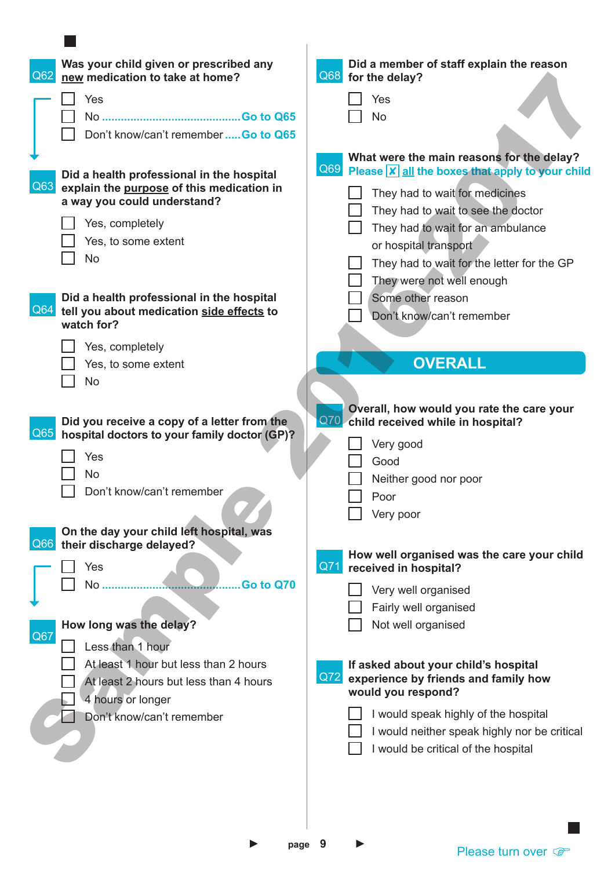| Was your child given or prescribed any<br>Q62<br>new medication to take at home?              | Did a member of staff explain the reason<br>Q68 for the delay?                                          |
|-----------------------------------------------------------------------------------------------|---------------------------------------------------------------------------------------------------------|
| Yes                                                                                           | Yes                                                                                                     |
|                                                                                               | <b>No</b>                                                                                               |
| $\mathbf{I}$<br>Don't know/can't remember  Go to Q65                                          |                                                                                                         |
|                                                                                               | What were the main reasons for the delay?<br>Q69 Please <b>X</b> all the boxes that apply to your child |
| Did a health professional in the hospital<br>Q63<br>explain the purpose of this medication in |                                                                                                         |
| a way you could understand?                                                                   | They had to wait for medicines                                                                          |
|                                                                                               | They had to wait to see the doctor                                                                      |
| Yes, completely                                                                               | They had to wait for an ambulance                                                                       |
| Yes, to some extent                                                                           | or hospital transport                                                                                   |
| $\Box$<br><b>No</b>                                                                           | They had to wait for the letter for the GP                                                              |
|                                                                                               | They were not well enough                                                                               |
| Did a health professional in the hospital                                                     | Some other reason                                                                                       |
| Q <sub>64</sub><br>tell you about medication side effects to<br>watch for?                    | Don't know/can't remember                                                                               |
|                                                                                               |                                                                                                         |
| Yes, completely                                                                               |                                                                                                         |
| Yes, to some extent                                                                           | <b>OVERALL</b>                                                                                          |
| <b>No</b><br>$\blacksquare$                                                                   |                                                                                                         |
|                                                                                               | Overall, how would you rate the care your                                                               |
| Did you receive a copy of a letter from the                                                   | Q70 child received while in hospital?                                                                   |
| Q65<br>hospital doctors to your family doctor (GP)?                                           | Very good                                                                                               |
| Yes                                                                                           | Good                                                                                                    |
| <b>No</b>                                                                                     | Neither good nor poor                                                                                   |
| Don't know/can't remember                                                                     | Poor                                                                                                    |
|                                                                                               | Very poor                                                                                               |
| On the day your child left hospital, was                                                      |                                                                                                         |
| Q66 their discharge delayed?                                                                  |                                                                                                         |
| Yes                                                                                           | How well organised was the care your child<br>Q7<br>received in hospital?                               |
| No                                                                                            | Go to Q70                                                                                               |
|                                                                                               | Very well organised                                                                                     |
|                                                                                               | Fairly well organised                                                                                   |
| How long was the delay?<br>Q67<br>Less than 1 hour<br>$\mathbf{I}$                            | Not well organised                                                                                      |
| At least 1 hour but less than 2 hours                                                         | If asked about your child's hospital                                                                    |
| At least 2 hours but less than 4 hours                                                        | Q72 experience by friends and family how                                                                |
| 4 hours or longer                                                                             | would you respond?                                                                                      |
| П<br>Don't know/can't remember                                                                | I would speak highly of the hospital                                                                    |
|                                                                                               | I would neither speak highly nor be critical                                                            |
|                                                                                               | I would be critical of the hospital                                                                     |
|                                                                                               |                                                                                                         |
|                                                                                               |                                                                                                         |
|                                                                                               |                                                                                                         |

 $\overline{\phantom{a}}$ 

► **page 9** ►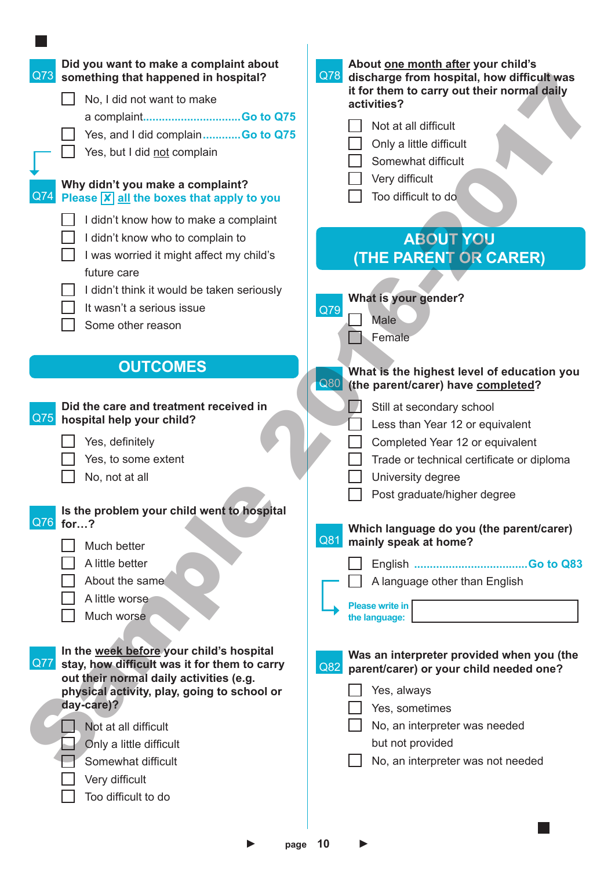| Did you want to make a complaint about<br>Q73<br>something that happened in hospital?<br>No, I did not want to make<br>a complaintGo to Q75<br>Yes, and I did complainGo to Q75<br>Yes, but I did not complain<br>Why didn't you make a complaint?<br>$\vert$ Q74<br>Please $\boxed{\mathsf{x}}$ all the boxes that apply to you | About one month after your child's<br>Q78<br>discharge from hospital, how difficult was<br>it for them to carry out their normal daily<br>activities?<br>Not at all difficult<br>Only a little difficult<br>Somewhat difficult<br>Very difficult<br>Too difficult to do                                                                                  |
|----------------------------------------------------------------------------------------------------------------------------------------------------------------------------------------------------------------------------------------------------------------------------------------------------------------------------------|----------------------------------------------------------------------------------------------------------------------------------------------------------------------------------------------------------------------------------------------------------------------------------------------------------------------------------------------------------|
| I didn't know how to make a complaint<br>I didn't know who to complain to<br>I was worried it might affect my child's<br>future care<br>I didn't think it would be taken seriously<br>It wasn't a serious issue<br>Some other reason                                                                                             | <b>ABOUT YOU</b><br>(THE PARENT OR CARER)<br>What is your gender?<br>Q79<br><b>Male</b><br>Female                                                                                                                                                                                                                                                        |
| <b>OUTCOMES</b>                                                                                                                                                                                                                                                                                                                  | What is the highest level of education you<br>Q80<br>(the parent/carer) have completed?                                                                                                                                                                                                                                                                  |
| Did the care and treatment received in<br> Q75 <br>hospital help your child?<br>Yes, definitely<br>Yes, to some extent<br>No, not at all<br>Is the problem your child went to hospital<br>Q76<br>for?<br>Much better<br>A little better<br>About the same<br>A little worse<br>Much worse                                        | Still at secondary school<br>Less than Year 12 or equivalent<br>Completed Year 12 or equivalent<br>Trade or technical certificate or diploma<br>University degree<br>Post graduate/higher degree<br>Which language do you (the parent/carer)<br>Q81<br>mainly speak at home?<br>A language other than English<br><b>Please write in</b><br>the language: |
| In the week before your child's hospital<br><b>Q77</b><br>stay, how difficult was it for them to carry<br>out their normal daily activities (e.g.<br>physical activity, play, going to school or<br>day-care)?<br>Not at all difficult<br>Only a little difficult<br>Somewhat difficult<br>Very difficult<br>Too difficult to do | Was an interpreter provided when you (the<br>Q82<br>parent/carer) or your child needed one?<br>Yes, always<br>Yes, sometimes<br>No, an interpreter was needed<br>but not provided<br>No, an interpreter was not needed                                                                                                                                   |
| page                                                                                                                                                                                                                                                                                                                             | 10                                                                                                                                                                                                                                                                                                                                                       |

 $\overline{\phantom{a}}$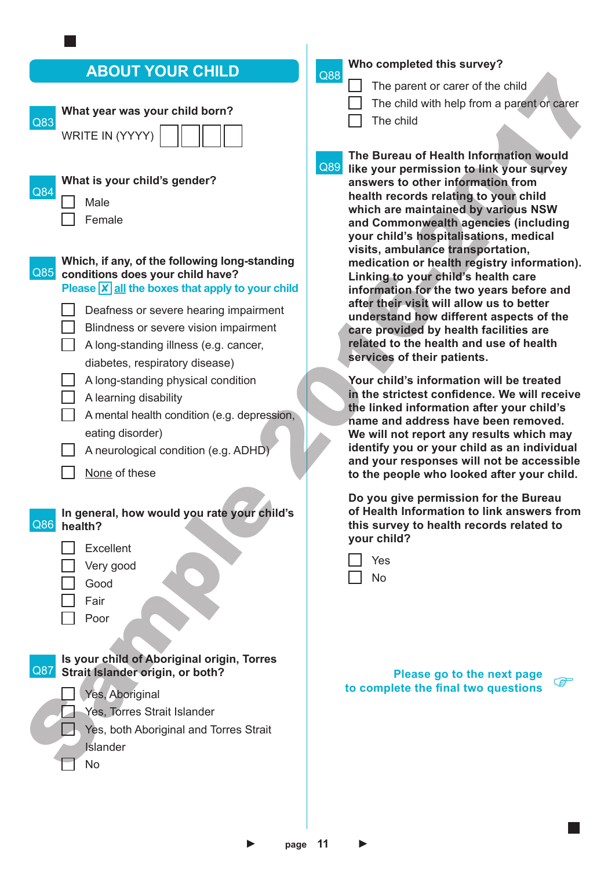# **ABOUT YOUR CHILD**

| ADVUT TUUN VIIILD                                                                                                                                                                                                                                                                                                           | Q88                                                                                                                                                                                                                                                                                                                                                                                                                       |
|-----------------------------------------------------------------------------------------------------------------------------------------------------------------------------------------------------------------------------------------------------------------------------------------------------------------------------|---------------------------------------------------------------------------------------------------------------------------------------------------------------------------------------------------------------------------------------------------------------------------------------------------------------------------------------------------------------------------------------------------------------------------|
| What year was your child born?<br>Q83<br>WRITE IN (YYYY)<br>What is your child's gender?<br>Q84<br>Male<br>Female                                                                                                                                                                                                           | The parent or carer of the child<br>The child with help from a parent or carer<br>The child<br>The Bureau of Health Information would<br>Q89<br>like your permission to link your survey<br>answers to other information from<br>health records relating to your child<br>which are maintained by various NSW<br>and Commonwealth agencies (including                                                                     |
| Which, if any, of the following long-standing<br>Q85<br>conditions does your child have?<br>Please $\boxed{\mathsf{x}}$ all the boxes that apply to your child<br>Deafness or severe hearing impairment<br>Blindness or severe vision impairment<br>A long-standing illness (e.g. cancer,<br>diabetes, respiratory disease) | your child's hospitalisations, medical<br>visits, ambulance transportation,<br>medication or health registry information).<br>Linking to your child's health care<br>information for the two years before and<br>after their visit will allow us to better<br>understand how different aspects of the<br>care provided by health facilities are<br>related to the health and use of health<br>services of their patients. |
| A long-standing physical condition<br>A learning disability<br>A mental health condition (e.g. depression,<br>eating disorder)<br>A neurological condition (e.g. ADHD)<br>None of these                                                                                                                                     | Your child's information will be treated<br>in the strictest confidence. We will receive<br>the linked information after your child's<br>name and address have been removed.<br>We will not report any results which may<br>identify you or your child as an individual<br>and your responses will not be accessible<br>to the people who looked after your child.                                                        |
| In general, how would you rate your child's<br>Q86<br>health?<br>Excellent<br>Very good<br>Good                                                                                                                                                                                                                             | Do you give permission for the Bureau<br>of Health Information to link answers from<br>this survey to health records related to<br>your child?<br>Yes<br><b>No</b>                                                                                                                                                                                                                                                        |
| Fair<br>Poor<br>Is your child of Aboriginal origin, Torres<br>Q87<br>Strait Islander origin, or both?<br>Yes, Aboriginal<br>Yes, Torres Strait Islander<br>Yes, both Aboriginal and Torres Strait<br><b>Islander</b><br><b>No</b>                                                                                           | Please go to the next page<br><b>PER</b><br>to complete the final two questions                                                                                                                                                                                                                                                                                                                                           |

## **Who completed this survey?**

Q88

- The parent or carer of the child
- The child with help from a parent or carer

| Yes |
|-----|
| N٥  |